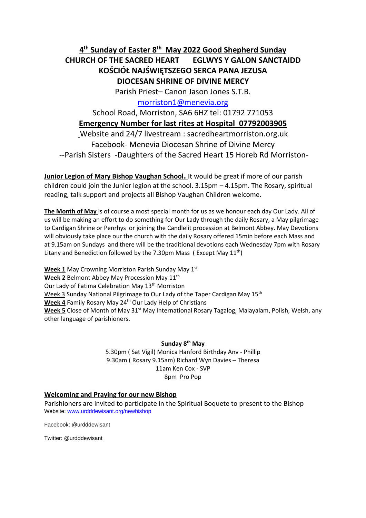# **4 th Sunday of Easter 8 th May 2022 Good Shepherd Sunday CHURCH OF THE SACRED HEART EGLWYS Y GALON SANCTAIDD KOŚCIÓŁ NAJŚWIĘTSZEGO SERCA PANA JEZUSA DIOCESAN SHRINE OF DIVINE MERCY**

Parish Priest– Canon Jason Jones S.T.B.

[morriston1@menevia.org](mailto:morriston1@menevia.org)

School Road, Morriston, SA6 6HZ tel: 01792 771053 **Emergency Number for last rites at Hospital 07792003905** Website and 24/7 livestream : sacredheartmorriston.org.uk Facebook- Menevia Diocesan Shrine of Divine Mercy --Parish Sisters -Daughters of the Sacred Heart 15 Horeb Rd Morriston-

**Junior Legion of Mary Bishop Vaughan School.** It would be great if more of our parish children could join the Junior legion at the school. 3.15pm – 4.15pm. The Rosary, spiritual reading, talk support and projects all Bishop Vaughan Children welcome.

**The Month of May** is of course a most special month for us as we honour each day Our Lady. All of us will be making an effort to do something for Our Lady through the daily Rosary, a May pilgrimage to Cardigan Shrine or Penrhys or joining the Candlelit procession at Belmont Abbey. May Devotions will obviously take place our the church with the daily Rosary offered 15min before each Mass and at 9.15am on Sundays and there will be the traditional devotions each Wednesday 7pm with Rosary Litany and Benediction followed by the 7.30pm Mass (Except May  $11^{th}$ )

**Week 1** May Crowning Morriston Parish Sunday May 1st Week 2 Belmont Abbey May Procession May 11<sup>th</sup> Our Lady of Fatima Celebration May 13<sup>th</sup> Morriston Week 3 Sunday National Pilgrimage to Our Lady of the Taper Cardigan May 15<sup>th</sup> Week 4 Family Rosary May 24<sup>th</sup> Our Lady Help of Christians **Week 5** Close of Month of May 31<sup>st</sup> May International Rosary Tagalog, Malayalam, Polish, Welsh, any other language of parishioners.

**Sunday 8 th May** 

5.30pm ( Sat Vigil) Monica Hanford Birthday Anv - Phillip 9.30am ( Rosary 9.15am) Richard Wyn Davies – Theresa 11am Ken Cox - SVP 8pm Pro Pop

# **Welcoming and Praying for our new Bishop**

Parishioners are invited to participate in the Spiritual Boquete to present to the Bishop Website[: www.urdddewisant.org/newbishop](http://www.urdddewisant.org/newbishop)

Facebook: @urdddewisant

Twitter: @urdddewisant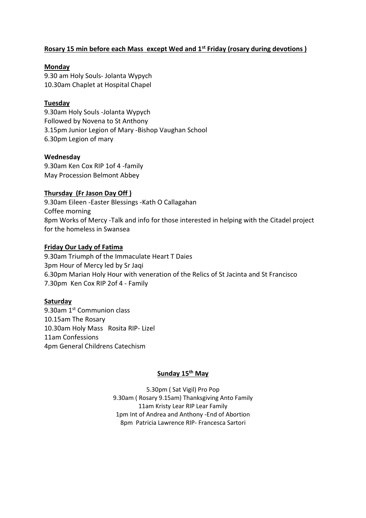# **Rosary 15 min before each Mass except Wed and 1st Friday (rosary during devotions )**

# **Monday**

9.30 am Holy Souls- Jolanta Wypych 10.30am Chaplet at Hospital Chapel

# **Tuesday**

9.30am Holy Souls -Jolanta Wypych Followed by Novena to St Anthony 3.15pm Junior Legion of Mary -Bishop Vaughan School 6.30pm Legion of mary

# **Wednesday**

9.30am Ken Cox RIP 1of 4 -family May Procession Belmont Abbey

# **Thursday (Fr Jason Day Off )**

9.30am Eileen -Easter Blessings -Kath O Callagahan Coffee morning 8pm Works of Mercy -Talk and info for those interested in helping with the Citadel project for the homeless in Swansea

# **Friday Our Lady of Fatima**

9.30am Triumph of the Immaculate Heart T Daies 3pm Hour of Mercy led by Sr Jaqi 6.30pm Marian Holy Hour with veneration of the Relics of St Jacinta and St Francisco 7.30pm Ken Cox RIP 2of 4 - Family

# **Saturday**

9.30am 1<sup>st</sup> Communion class 10.15am The Rosary 10.30am Holy Mass Rosita RIP- Lizel 11am Confessions 4pm General Childrens Catechism

# **Sunday 15th May**

5.30pm ( Sat Vigil) Pro Pop 9.30am ( Rosary 9.15am) Thanksgiving Anto Family 11am Kristy Lear RIP Lear Family 1pm Int of Andrea and Anthony -End of Abortion 8pm Patricia Lawrence RIP- Francesca Sartori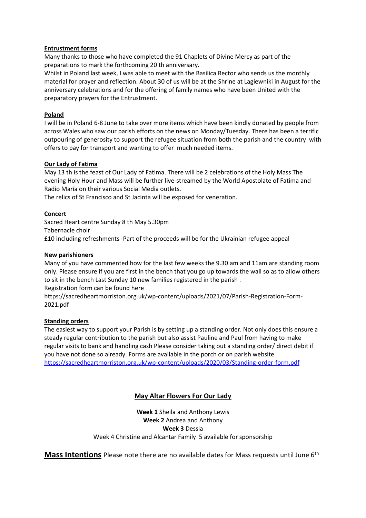#### **Entrustment forms**

Many thanks to those who have completed the 91 Chaplets of Divine Mercy as part of the preparations to mark the forthcoming 20 th anniversary.

Whilst in Poland last week, I was able to meet with the Basilica Rector who sends us the monthly material for prayer and reflection. About 30 of us will be at the Shrine at Lagiewniki in August for the anniversary celebrations and for the offering of family names who have been United with the preparatory prayers for the Entrustment.

#### **Poland**

I will be in Poland 6-8 June to take over more items which have been kindly donated by people from across Wales who saw our parish efforts on the news on Monday/Tuesday. There has been a terrific outpouring of generosity to support the refugee situation from both the parish and the country with offers to pay for transport and wanting to offer much needed items.

#### **Our Lady of Fatima**

May 13 th is the feast of Our Lady of Fatima. There will be 2 celebrations of the Holy Mass The evening Holy Hour and Mass will be further live-streamed by the World Apostolate of Fatima and Radio María on their various Social Media outlets.

The relics of St Francisco and St Jacinta will be exposed for veneration.

#### **Concert**

Sacred Heart centre Sunday 8 th May 5.30pm Tabernacle choir £10 including refreshments -Part of the proceeds will be for the Ukrainian refugee appeal

#### **New parishioners**

Many of you have commented how for the last few weeks the 9.30 am and 11am are standing room only. Please ensure if you are first in the bench that you go up towards the wall so as to allow others to sit in the bench Last Sunday 10 new families registered in the parish . Registration form can be found here

https://sacredheartmorriston.org.uk/wp-content/uploads/2021/07/Parish-Registration-Form-2021.pdf

#### **Standing orders**

The easiest way to support your Parish is by setting up a standing order. Not only does this ensure a steady regular contribution to the parish but also assist Pauline and Paul from having to make regular visits to bank and handling cash Please consider taking out a standing order/ direct debit if you have not done so already. Forms are available in the porch or on parish website <https://sacredheartmorriston.org.uk/wp-content/uploads/2020/03/Standing-order-form.pdf>

# **May Altar Flowers For Our Lady**

**Week 1** Sheila and Anthony Lewis **Week 2** Andrea and Anthony **Week 3** Dessia Week 4 Christine and Alcantar Family 5 available for sponsorship

**Mass Intentions** Please note there are no available dates for Mass requests until June 6<sup>th</sup>